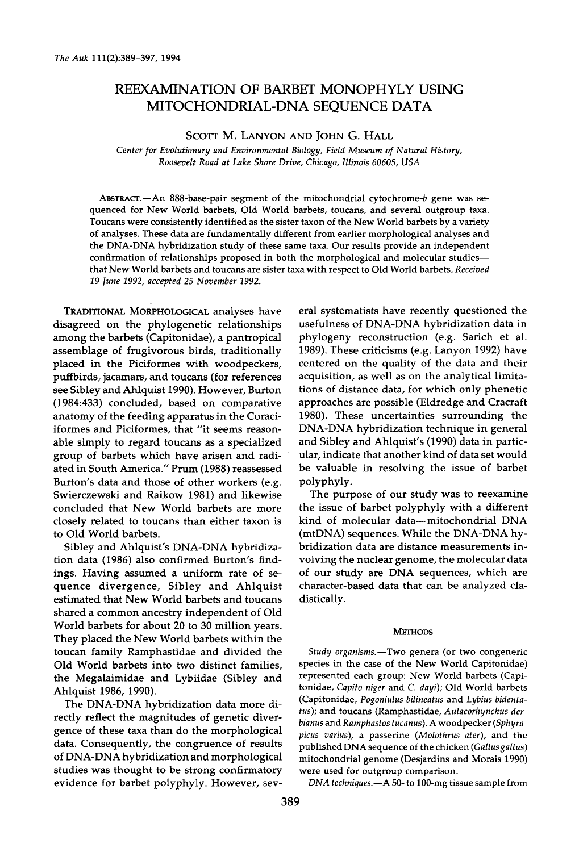# **REEXAMINATION OF BARBET MONOPHYLY USING MITOCHONDRIAL-DNA SEQUENCE DATA**

## **SCOTT M. LANYON AND JOHN G. HALL**

**Center for Evolutionary and Environmental Biology, Field Museum of Natural History, Roosevelt Road at Lake Shore Drive, Chicago, Illinois 60605, USA** 

ABSTRACT.--An 888-base-pair segment of the mitochondrial cytochrome-b gene was se**quenced for New World barbets, Old World barbets, toucans, and several outgroup taxa. Toucans were consistently identified as the sister taxon of the New World barbets by a variety of analyses. These data are fundamentally different from earlier morphological analyses and the DNA-DNA hybridization study of these same taxa. Our results provide an independent confirmation of relationships proposed in both the morphological and molecular studies- that New World barbets and toucans are sister taxa with respect to Old World barbets. Received 19 June 1992, accepted 25 November 1992.** 

**TRADITIONAL MoRPHoLOGICAL analyses have disagreed on the phylogenetic relationships among the barbets (Capitonidae), a pantropical assemblage of frugivorous birds, traditionally placed in the Piciformes with woodpeckers, puffbirds, jacamars, and toucans (for references see Sibley and Ahlquist 1990). However, Burton (1984:433) concluded, based on comparative anatomy of the feeding apparatus in the Coraciiformes and Piciformes, that "it seems reasonable simply to regard toucans as a specialized group of barbets which have arisen and radiated in South America." Prum (1988) reassessed Burton's data and those of other workers (e.g. Swierczewski and Raikow 1981) and likewise concluded that New World barbets are more closely related to toucans than either taxon is to Old World barbets.** 

**Sibley and Ahlquist's DNA-DNA hybridization data (1986) also confirmed Burton's findings. Having assumed a uniform rate of sequence divergence, Sibley and Ahlquist estimated that New World barbets and toucans shared a common ancestry independent of Old World barbets for about 20 to 30 million years. They placed the New World barbets within the toucan family Ramphastidae and divided the Old World barbets into two distinct families, the Megalaimidae and Lybiidae (Sibley and Ahlquist 1986, 1990).** 

**The DNA-DNA hybridization data more directly reflect the magnitudes of genetic divergence of these taxa than do the morphological data. Consequently, the congruence of results of DNA-DNA hybridization and morphological studies was thought to be strong confirmatory evidence for barbet polyphyly. However, sev-** **eral systematists have recently questioned the usefulness of DNA-DNA hybridization data in phylogeny reconstruction (e.g. Sarich et al. 1989). These criticisms (e.g. Lanyon 1992) have centered on the quality of the data and their acquisition, as well as on the analytical limitations of distance data, for which only phenetic approaches are possible (Eldredge and Cracraft 1980). These uncertainties surrounding the DNA-DNA hybridization technique in general and Sibley and Ahlquist's (1990) data in particular, indicate that another kind of data set would be valuable in resolving the issue of barbet polyphyly.** 

**The purpose of our study was to reexamine the issue of barbet polyphyly with a different kind of molecular data--mitochondrial DNA (mtDNA) sequences. While the DNA-DNA hybridization data are distance measurements involving the nuclear genome, the molecular data of our study are DNA sequences, which are character-based data that can be analyzed cladistically.** 

#### **METHODS**

Study organisms.-Two genera (or two congeneric **species in the case of the New World Capitonidae) represented each group: New World barbets (Capitonidae, Capito niger and C. dayi); Old World barbets (Capitonidae, Pogoniulus bilineatus and Lybius bidentatus); and toucans (Ramphastidae, Aulacorhynchus derbianus and Ramphastos tucanus ). A woodpecker (Sphyrapicus varius), a passerine (Molothrus ater), and the published DNA sequence of the chicken (Gallus gallus) mitochondrial genome (Desjardins and Morais 1990) were used for outgroup comparison.** 

DNA techniques.-A 50- to 100-mg tissue sample from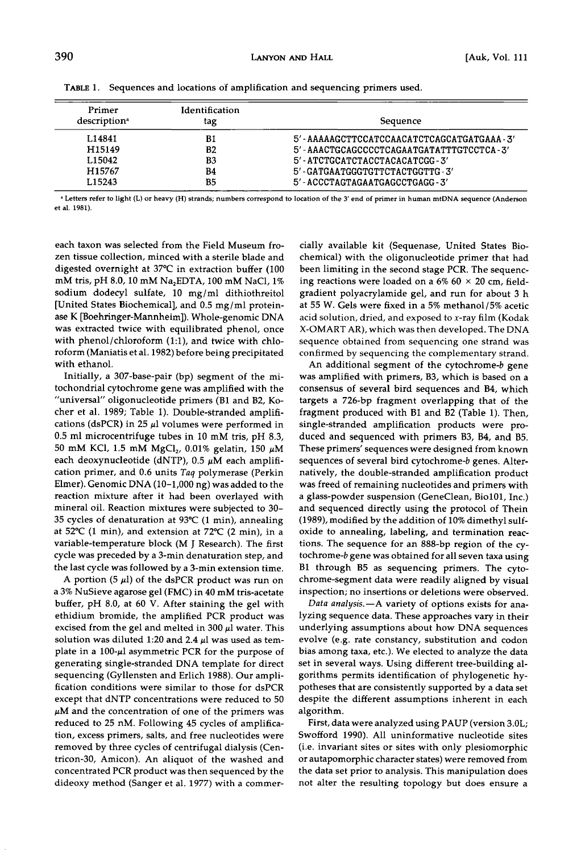| Primer<br>description <sup>a</sup> | <b>Identification</b><br>tag | Sequence                                  |  |  |  |  |  |  |  |
|------------------------------------|------------------------------|-------------------------------------------|--|--|--|--|--|--|--|
| L14841                             | Β1                           | 5'-AAAAAGCTTCCATCCAACATCTCAGCATGATGAAA-3' |  |  |  |  |  |  |  |
| H <sub>15149</sub>                 | <b>B2</b>                    | 5'-AAACTGCAGCCCCTCAGAATGATATTTGTCCTCA-3'  |  |  |  |  |  |  |  |
| L <sub>15042</sub>                 | B3                           | 5'-ATCTGCATCTACCTACACATCGG-3'             |  |  |  |  |  |  |  |
| H15767                             | <b>B4</b>                    | 5'-GATGAATGGGTGTTCTACTGGTTG-3'            |  |  |  |  |  |  |  |
| I.15243                            | <b>B5</b>                    | 5'-ACCCTAGTAGAATGAGCCTGAGG-3'             |  |  |  |  |  |  |  |

TABLE 1. Sequences and locations of amplification and sequencing primers used.

<sup>a</sup> Letters refer to light (L) or heavy (H) strands; numbers correspond to location of the 3' end of primer in human mtDNA sequence (Anderson et al. 1981).

each taxon was selected from the Field Museum frozen tissue collection, minced with a sterile blade and digested overnight at 37°C in extraction buffer (100 mM tris, pH 8.0, 10 mM Na2EDTA, 100 mM NaCl, 1% sodium dodecyl sulfate, 10 mg/ml dithiothreitol [United States Biochemical], and 0.5 mg/ml proteinase K [Boehringer-Mannheim]). Whole-genomic DNA was extracted twice with equilibrated phenol, once with phenol/chloroform (1:1), and twice with chloroform (Maniatis et al. 1982) before being precipitated with ethanol.

Initially, a 307-base-pair (bp) segment of the mitochondrial cytochrome gene was amplified with the "universal" oligonucleotide primers (B1 and B2, Kocher et al. 1989; Table 1). Double-stranded amplifications (dsPCR) in 25  $\mu$ l volumes were performed in 0.5 ml microcentrifuge tubes in 10 mM tris, pH 8.3, 50 mM KCl, 1.5 mM MgCl,, 0.01% gelatin, 150 µM each deoxynucleotide (dNTP),  $0.5 \mu M$  each amplification primer, and 0.6 units Taq polymerase (Perkin Elmer). Genomic DNA (10-1,000 ng) was added to the reaction mixture after it had been overlayed with mineral oil. Reaction mixtures were subjected to 30-35 cycles of denaturation at 93°C (1 min), annealing at 52°C (1 min), and extension at 72°C (2 min), in a variable-temperature block (M J Research). The first cycle was preceded by a 3-min denaturation step, and the last cycle was followed by a 3-min extension time.

A portion  $(5 \mu l)$  of the dsPCR product was run on a 3% NuSieve agarose gel (FMC) in 40 mM tris-acetate buffer, pH 8.0, at 60 V. After staining the gel with ethidium bromide, the amplified PCR product was excised from the gel and melted in  $300 \mu l$  water. This solution was diluted 1:20 and 2.4  $\mu$ l was used as template in a  $100-\mu l$  asymmetric PCR for the purpose of generating single-stranded DNA template for direct sequencing (Gyllensten and Erlich 1988). Our amplification conditions were similar to those for dsPCR except that dNTP concentrations were reduced to 50  $\mu$ M and the concentration of one of the primers was reduced to 25 nM. Following 45 cycles of amplification, excess primers, salts, and free nucleotides were removed by three cycles of centrifugal dialysis (Centricon-30, Amicon). An aliquot of the washed and concentrated PCR product was then sequenced by the dideoxy method (Sanger et al. 1977) with a commer-

cially available kit (Sequenase, United States Biochemical) with the oligonucleotide primer that had been limiting in the second stage PCR. The sequencing reactions were loaded on a 6% 60  $\times$  20 cm, fieldgradient polyacrylamide gel, and run for about 3 h at 55 W. Gels were fixed in a 5% methanol/5% acetic acid solution, dried, and exposed to x-ray film (Kodak X-OMART AR), which was then developed. The DNA sequence obtained from sequencing one strand was confirmed by sequencing the complementary strand.

An additional segment of the cytochrome-b gene was amplified with primers, B3, which is based on a consensus of several bird sequences and B4, which targets a 726-bp fragment overlapping that of the fragment produced with B1 and B2 (Table 1). Then, single-stranded amplification products were produced and sequenced with primers B3, B4, and B5. These primers' sequences were designed from known sequences of several bird cytochrome-b genes. Alternatively, the double-stranded amplification product was freed of remaining nucleotides and primers with a glass-powder suspension (GeneClean, Bio101, Inc.) and sequenced directly using the protocol of Thein (1989), modified by the addition of 10% dimethyl sulfoxide to annealing, labeling, and termination reactions. The sequence for an 888-bp region of the cytochrome-b gene was obtained for all seven taxa using B1 through B5 as sequencing primers. The cytochrome-segment data were readily aligned by visual inspection; no insertions or deletions were observed.

Data analysis. - A variety of options exists for analyzing sequence data. These approaches vary in their underlying assumptions about how DNA sequences evolve (e.g. rate constancy, substitution and codon bias among taxa, etc.). We elected to analyze the data set in several ways. Using different tree-building algorithms permits identification of phylogenetic hypotheses that are consistently supported by a data set despite the different assumptions inherent in each algorithm.

First, data were analyzed using PAUP (version 3.0L; Swofford 1990). All uninformative nucleotide sites (i.e. invariant sites or sites with only plesiomorphic or autapomorphic character states) were removed from the data set prior to analysis. This manipulation does not alter the resulting topology but does ensure a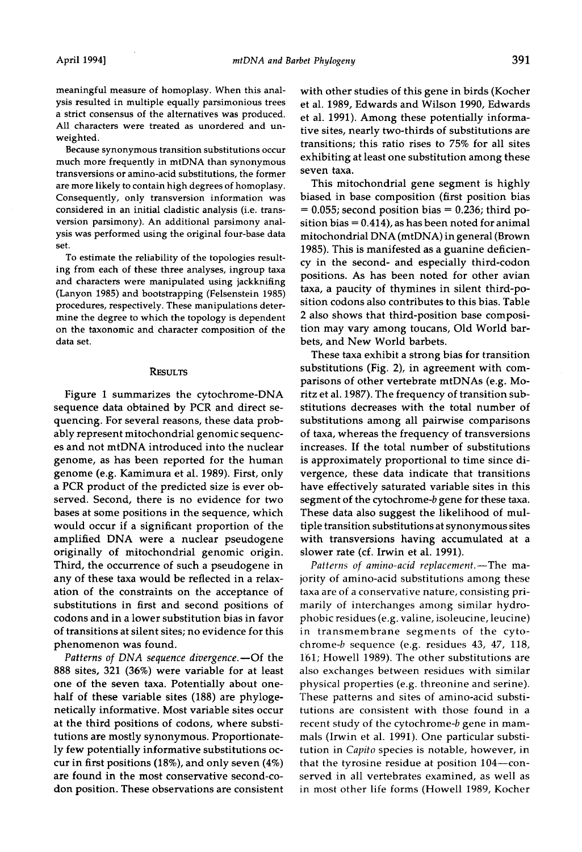**meaningful measure of homoplasy. When this analysis resulted in multiple equally parsimonious trees a strict consensus of the alternatives was produced. All characters were treated as unordered and unweighted.** 

**Because synonymous transition substitutions occur much more frequently in mtDNA than synonymous transversions or amino-acid substitutions, the former are more likely to contain high degrees of homoplasy. Consequently, only transversion information was considered in an initial cladistic analysis (i.e. transversion parsimony). An additional parsimony analysis was performed using the original four-base data set.** 

**To estimate the reliability of the topologies resulting from each of these three analyses, ingroup taxa and characters were manipulated using jackknifing (Lanyon 1985) and bootstrapping (Felsenstein 1985) procedures, respectively. These manipulations determine the degree to which the topology is dependent on the taxonomic and character composition of the data set.** 

#### **RESULTS**

**Figure I summarizes the cytochrome-DNA sequence data obtained by PCR and direct sequencing. For several reasons, these data probably represent mitochondrial genomic sequences and not mtDNA introduced into the nuclear genome, as has been reported for the human genome (e.g. Kamimura et al. 1989). First, only a PCR product of the predicted size is ever observed. Second, there is no evidence for two bases at some positions in the sequence, which would occur if a significant proportion of the amplified DNA were a nuclear pseudogene originally of mitochondrial genomic origin. Third, the occurrence of such a pseudogene in any of these taxa would be reflected in a relaxation of the constraints on the acceptance of substitutions in first and second positions of codons and in a lower substitution bias in favor of transitions at silent sites; no evidence for this phenomenon was found.** 

Patterns of DNA sequence divergence.--Of the **888 sites, 321 (36%) were variable for at least one of the seven taxa. Potentially about onehalf of these variable sites (188) are phylogenetically informative. Most variable sites occur at the third positions of codons, where substitutions are mostly synonymous. Proportionately few potentially informative substitutions occur in first positions (18%), and only seven (4%) are found in the most conservative second-codon position. These observations are consistent**  **with other studies of this gene in birds (Kocher et al. 1989, Edwards and Wilson 1990, Edwards et al. 1991). Among these potentially informative sites, nearly two-thirds of substitutions are transitions; this ratio rises to 75% for all sites exhibiting at least one substitution among these seven taxa.** 

**This mitochondrial gene segment is highly biased in base composition (first position bias = 0.055; second position bias = 0.236; third position bias = 0.414), as has been noted for animal mitochondrial DNA (mtDNA) in general (Brown 1985). This is manifested as a guanine deficiency in the second- and especially third-codon positions. As has been noted for other avian taxa, a paucity of thymines in silent third-position codons also contributes to this bias. Table 2 also shows that third-position base composition may vary among toucans, Old World barbets, and New World barbets.** 

**These taxa exhibit a strong bias for transition substitutions (Fig. 2), in agreement with comparisons of other vertebrate mtDNAs (e.g. Moritz et al. 1987). The frequency of transition substitutions decreases with the total number of substitutions among all pairwise comparisons of taxa, whereas the frequency of transversions increases. If the total number of substitutions is approximately proportional to time since divergence, these data indicate that transitions have effectively saturated variable sites in this segment of the cytochrome-b gene for these taxa. These data also suggest the likelihood of multiple transition substitutions at synonymous sites with transversions having accumulated at a slower rate (cf. Irwin et al. 1991).** 

Patterns of amino-acid replacement.—The ma**jority of amino-acid substitutions among these taxa are of a conservative nature, consisting primarily of interchanges among similar hydrophobic residues (e.g. valine, isoleucine, leucine) in transmembrane segments of the cytochrome-b sequence (e.g. residues 43, 47, 118, 1'61; Howell 1989). The other substitutions are also exchanges between residues with similar physical properties (e.g. threonine and serine). These patterns and sites of amino-acid substitutions are consistent with those found in a recent study of the cytochrome-b gene in mammals (Irwin et al. 1991). One particular substitution in Capito species is notable, however, in**  that the tyrosine residue at position  $104$ -con**served in all vertebrates examined, as well as in most other life forms (Howell 1989, Kocher**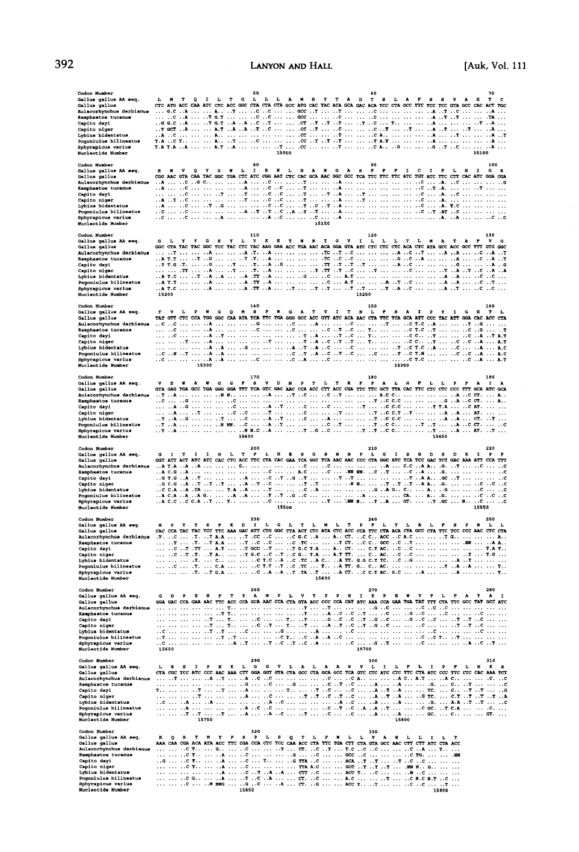LANYON AND HALL

| Codon Number<br>Gallus gallus AA seq.<br>Callus gallus<br>Aulacorhynchus derbianus<br>Ramphastos tucanus<br>Capito dayi<br>Capito niger<br>Lybium bidentatus<br>Pogoniulus bilineatus<br>Sphyrapicus varius<br>Nucleotide Number        | L                                              | м<br>a.e.<br>$$ GCT $$ $\lambda$ $$<br>$1.1$ $\lambda$ $1.1$ $\mathbf{C}$ $1.11$ $1.11$ $1.11$ $1.11$ $1.11$ $1.11$ $1.11$<br>$T.A$ . $C T.$ .<br>T.A.T.AA | T                                        | $\mathbf{o}$                                                                        | I<br>A. T<br>$\mathcal{L}(\mathcal{L})$ . And $\mathcal{L}(\mathcal{L})$ , $\mathcal{L}(\mathcal{L})$ | L.<br>A.T                      | $\bf T$<br>$\cdot$ . A              | G                                                                    | 50<br>L.<br>$\ldots$ c             | L                                                                                                                                        | $\mathbf{L}$<br>$\ldots$ T<br>15050  | $\lambda$                                      | <b>M</b><br>A., T  C C   GCC T  T   C<br>دد در دید اللہ اللہ اللہ اللہ اللہ دی اللہ علیہ دی اللہ دی اللہ اللہ اللہ اللہ اللہ علیہ اللہ اللہ اللہ اللہ ال<br>The common LCC common set and common LCC Assesses and common and commonline<br>$\cdots \cdots \cdots \cdots \cdots \cdots \cdots \cdots \cdots \cdots \cdots \cdots$<br>$.$ CC                                                                                                                                                                                                                                                            | $\,$ H                                            | $\mathbf{Y}$<br>1.1.1.1.1.1.1                                                                                                                         | $\mathbf T$                                       | $\lambda$<br>$\cdots$           | $\mathbf{D}$<br>$\ldots \ldots \ldots \ldots \ldots \ldots \ldots \ldots$                                                                                                                        | 60<br>T.                                   | $\mathbf{s}$<br>C A A                                            | $L = A$                                                                                                                                                                                                                             |                                                          | $\mathbf{r}$                          | 8<br>$\ldots$ $\ldots$ $\ldots$ $\ldots$ $\ldots$ $\ldots$ $\ldots$ $\ldots$ $\ldots$ $\ldots$ $\ldots$ $\ldots$<br>$\cdots$ $\cdots$ $\lambda$ $\cdots$ $\mathbf{T}$<br><b>ALL COLOUR AUTOMOTIVE COLOUR</b><br>$\ldots$ G | 8<br>$\ldots$<br>$\cdot$ . T                           | v<br>$\cdots$    | А<br>$\cdot$ . T                                                  | н<br>CTC ATG ACC CAA ATC CTC ACC GGC CTA CTA CTA GCC ATG CAC TAC ACA GCA GAC ACA TCC CTA GCC TTC TCC TCC GTA GCC CAC ACT TGC<br>ננה את תוכן תוכנות נוב את יותר תוכנות מתייחד. ותוכנות תוכנת היותר מוכנות היותר תוכנות את המותר תוכנות את הסופ<br>$\ldots$ $\ldots$ $\lambda$ $\ldots$<br>1.1.1.1.1.1.1.1.1.1.1<br>15100                                                                                                                                                                                                                                                                                                                                                   | 70<br>T<br>$\cdots$<br>$\cdot$ TA $\cdot$ $\cdot$<br>A<br>۰. ۸               | c                          |
|-----------------------------------------------------------------------------------------------------------------------------------------------------------------------------------------------------------------------------------------|------------------------------------------------|------------------------------------------------------------------------------------------------------------------------------------------------------------|------------------------------------------|-------------------------------------------------------------------------------------|-------------------------------------------------------------------------------------------------------|--------------------------------|-------------------------------------|----------------------------------------------------------------------|------------------------------------|------------------------------------------------------------------------------------------------------------------------------------------|--------------------------------------|------------------------------------------------|-------------------------------------------------------------------------------------------------------------------------------------------------------------------------------------------------------------------------------------------------------------------------------------------------------------------------------------------------------------------------------------------------------------------------------------------------------------------------------------------------------------------------------------------------------------------------------------------------------|---------------------------------------------------|-------------------------------------------------------------------------------------------------------------------------------------------------------|---------------------------------------------------|---------------------------------|--------------------------------------------------------------------------------------------------------------------------------------------------------------------------------------------------|--------------------------------------------|------------------------------------------------------------------|-------------------------------------------------------------------------------------------------------------------------------------------------------------------------------------------------------------------------------------|----------------------------------------------------------|---------------------------------------|----------------------------------------------------------------------------------------------------------------------------------------------------------------------------------------------------------------------------|--------------------------------------------------------|------------------|-------------------------------------------------------------------|---------------------------------------------------------------------------------------------------------------------------------------------------------------------------------------------------------------------------------------------------------------------------------------------------------------------------------------------------------------------------------------------------------------------------------------------------------------------------------------------------------------------------------------------------------------------------------------------------------------------------------------------------------------------------|------------------------------------------------------------------------------|----------------------------|
| Codon Number<br>Gallus gallus AA seq.<br>Gallus callus<br>Aulacorhynchus derbianus<br>Ramphastos tucanus<br>Capito dayi<br>Capito nimer<br>Lybius bidentatus<br>Pogoniulus bilineatus<br>Sphyrapicus varius<br>Nucleotide Number        | . . A<br>$\cdot$ . C<br>$\cdot$ . C            | <br>$\ldots$ $\lambda$ $\ldots$ $\ldots$ $\sim$ C<br>$\ldots$ $\ldots$ C                                                                                   | v<br>$\cdot$ . C<br>$\cdot$ . $\circ$    | $\circ$                                                                             | x<br>and and and are such<br>$\ldots$ $\ldots$ $\mathbf{T}$ $\ldots$ G                                | G                              | ×<br>and and and                    | Ь<br>$\ldots$                                                        | 60<br>$\mathbf{I}$<br>$\ldots$ T   | $\mathbf{R}$<br>$\ldots$ . $\mathbf{c}$ . $\mathbf{c}$<br>$\cdot$ . T<br>The common state of the com-                                    | N<br>$\cdot$ . C                     | L                                              | Н<br>$\ldots$ , $\ldots$ T<br>STORY IN THE REPORT OF A 1990 IN THE RELATION OF THE CHARGE<br>יות הגורים מהיותר מתייחת היו מהיותר את התייחדות מתייחד מהיותר את היו מהיותר והיותר היו התייחדו מתיימות את<br>die die als die lae die land van die als die als die be<br>$\ldots$ A $\ldots$ T                                                                                                                                                                                                                                                                                                            | $\lambda$<br>$\cdots$<br>$\ldots$ T<br>$\ldots$ C | И<br>15150                                                                                                                                            | G<br>$\ldots$ A<br>$\cdots$ $\cdots$ $\mathbf{A}$ | A<br>$\cdots$                   | a<br><b></b>                                                                                                                                                                                     | 90                                         | F                                                                | P<br>and the contract of the search of the search of the search of the search of the search of the search of the search of the search of the search of the search of the search of the search of the search of the search of the se | $\mathbf{I}$<br>and the same                             | $\mathbf{C}$<br>$\ldots$ c            | $\cdot$ . T<br>$\ldots$ . As $\ldots$ C<br>$\ldots$ $\Gamma$                                                                                                                                                               | P<br>$\mathbf{A}$ ,<br>A. T.C<br>$AT$<br>$A. \ldots A$ | L                | H                                                                 | $\mathbf{I}$<br>CGG AAC GTA CAA TAC GGC TGA CTC ATC CGG AAT CTC CAC GCA AAC GGC GCC TCA TTC TTC TTC ATC TGT ATC TTC CTT CAC ATC GGA CGA<br><b>Sales State</b>                                                                                                                                                                                                                                                                                                                                                                                                                                                                                                             | 100<br>GR<br>$\ldots c$ $\ldots c$                                           |                            |
| Codon Number<br>Gallus gallus AA seq.<br>Gallus gallus<br>Aulacorhynchus derbianus<br>Ramphastos tucanus<br>Capito dayi<br>Capito niger<br>Lybius bidentatus<br>Pogoniulus bilineatus<br>Sphyrapicus varius<br>Nucleotide Number        | $\alpha$<br>$\ldots$<br>15200                  | т.<br>.A T.T<br>T.C<br>$$ A $T.T$<br>$$ A T.C                                                                                                              | Y                                        | Y<br>$\ldots$ $\ldots$ $\mathbf{T}$<br>$\ldots$ $\ldots$ $\mathbf{T}$               | G<br>$\ldots$ G<br>TT  A  T<br>and the start and the start<br>$\ldots$ A                              | я                              | Y<br>and and are and                | L<br>$\ldots$ .<br>$\ldots$                                          | Y                                  | к<br>$TT \ldots A \ldots \ldots$<br>$TT$ . $A$                                                                                           | $\mathbf{E}$                         | T<br>1.11117                                   | $\mathbf{M}$ .<br>الاقتدامات التباري الأناد المتحدث التباريات المتالي المتحدث التبارين المتالاة المتالي المتحدث المتالاة المتحدث<br>$\mathbf{T}_1,\ldots,\mathbf{A}_{i_1},\ldots,\ldots,\mathbf{A}_{i_{r-1}},\ldots,\mathbf{T}_{i_{r-1}},\ldots,\mathbf{T}_{i_{r-1}},\mathbf{T}_{i_1},\ldots,\mathbf{T}_{i_{r-1}},\ldots,\mathbf{T}_{i_{r-1}},\ldots,\mathbf{T}_{i_{r-1}},\ldots,\mathbf{T}_{i_{r-1}},\ldots,\mathbf{T}_{i_{r-1}},\ldots,\mathbf{T}_{i_{r-1}},\ldots,\mathbf{T}_{i_{r-1}},\ldots,\mathbf{T}_{i_{r-1}},\ldots,\mathbf{T}_{i_{r-1}},\ldots,\mathbf{T}_{i_{r-1}},\ldots,\mathbf$<br>TTAG | $\mathbf{B}$                                      | т                                                                                                                                                     | G                                                 | v                               | $\mathbf{r}$<br>The color and A.T. and the contract and<br>and the such as a final manufacturer and<br>$\ldots$ $\ldots$ $\ldots$ $\ldots$ $\ldots$ $\ldots$ $\ldots$ $\ldots$ $\ldots$<br>15250 | 120<br>L.                                  | L                                                                | L<br>$\ldots$ $\ldots$ $\ldots$ $\ldots$ $\ldots$ $\ldots$ $\ldots$ $\ldots$ $\ldots$ $\ldots$ $\ldots$ $\ldots$                                                                                                                    | $\mathbf T$                                              | $\mathbf{L}$<br>$\cdots$<br>$\ddotsc$ | $\blacksquare$<br>and the control of the control of the control of the control of the control of the control of the control of the<br><b>DELLA, ALC IN THE LEADER OF STREET</b><br><b>ALL ALL LANDS</b><br>$\cdots$        | $\lambda$<br>A A<br>$\cdot$ . A                        | т<br>$\cdot$ . T | А<br>$\ldots$ $\ldots$ c                                          | P<br>GGC CTA TAC TAC GGC TCC TAC CTC TAC AAG GAA ACC TGA AAC ACA GGA GTA ATC CTC CTC CTC ACA CTC ATA GCC ACC GCC TTT GTG GGC<br>10<br>$\cdots$<br>81. 82. 11. 12. 13. 14. 14. 14. 15. 16. 17. 17. 17. 17. 17. 17. 17. 14. 14. 14. 15. 14. 14. 14. 14. 15. 15. 15. 1<br>$\ldots$ . $\mathbf{C}$ $\ldots$ $\mathbf{T}$ $\ldots$<br>$\ldots$ c $\ldots$                                                                                                                                                                                                                                                                                                                      | 130<br>$\mathbf{v}$<br>$\ldots$ . $\ldots$ .<br>منتقب<br>$\ldots$ C $\ldots$ | $\mathbf{G}$               |
| Codon Number<br>Gallus gallus AA seq.<br>Gallus gallus<br>Aulacorhynchus derbianus<br>Ramphastos tucanus<br>Capito davi<br>Capito niger<br>Lybius bidentatus<br>Pogoniulus bilineatus<br>Sphyrapicus varius<br><b>Nucleotide Number</b> | Y<br>$\cdot$ . C<br>$\cdot$ . C<br>$\cdot$ . C | v<br>$\cdot$ . C<br>The common contract of the common                                                                                                      | L                                        | P                                                                                   | w<br>and also also all also also also alle<br>۰.۸<br>۸. .<br>$$ $$ $$ $$ $$<br>15300                  | G<br>۸. .                      | $\circ$                             | M<br>$\ldots$ G                                                      | 140<br>8<br>$\ldots c$<br>$\cdots$ | F<br>$\cdots$                                                                                                                            | ×<br>$\cdots$                        | G<br><br>$\cdot$ . A                           | A<br>The contract of the second contract of the second contract of the contract of<br>$\cdots$<br>$\cdot$ . T<br>der ein der Ter der Als Ter der eine eine eine eine Als Als eine<br>The step is a strike star                                                                                                                                                                                                                                                                                                                                                                                        | T<br>                                             | v<br>$\ldots$ $\ldots$ $\ldots$ $\ldots$ $\ldots$ $\ldots$<br>$\ldots c$<br>                                                                          | $\mathbf{I}$                                      | T<br>$\ldots c$<br>$\cdots$<br> | N<br>$\cdots$                                                                                                                                                                                    | 150<br>L                                   | P                                                                | s<br>15350                                                                                                                                                                                                                          | A<br>$\ldots$ . $\mathbf{c}$ $\mathbf{r}$ . $\mathbf{c}$ | r                                     | P<br>$$ T. $$ $$ $$ $C$ T.C $$<br>$ $ $$ $$ $$ $ $                                                                                                                                                                         | Y<br>$\cdots$<br>$\ldots$ $\ldots$ c                   | I                | G<br>$\ldots c$<br>$\ldots$ C<br>$\cdot$ . $\cdot$<br>$\cdot$ . C | Ħ<br>TAT GTT CTC CCA TGG GGC CAA ATA TCA TTC TGA GGG GCC ACC GTT ATC ACA AAC CTA TTC TCA GCA ATT CCC TAC ATT GGA CAC ACC CTA<br>. . 0<br>ת.ת. מה שהו שהו בה בני הם שהו היה היה בני התוכנו שהו מה הו גם. מה בני היה היה היה היה מה מה היה היה שהו בני י<br>$\cdot$ . A<br>$\cdot$ .<br>۰. ۸                                                                                                                                                                                                                                                                                                                                                                                | 160<br>T<br>$\ldots$ . $\ldots$<br>3.7<br>$\ldots$ A.C<br>$\cdots$ A.T       | L<br>$\cdots$ A.C          |
| Codon Number<br>Gallus gallus AA seq.<br>Gallus gallus<br>Aulacorhynchus derbianus<br>Ramphastos tucanus<br>Capito dayi<br>Capito niger<br>Lybius bidentatus<br>Pogoniulus bilineatus<br>Sphyrapicus varius<br>Nucleotide Number        | v<br>$\mathbf{r}$ .<br>. . с<br>$\mathbf{r}$ . | Е<br>$\ldots$ $\ldots$ $\lambda$ $\ldots$ G<br>$\ldots$ $\Gamma$ $\ldots$ $\lambda$ $\ldots$                                                               | $\cdot$ . A $\cdot$ .<br>$\ldots$<br>A G | A                                                                                   | w<br>and the next Man and the stake<br>1.1.1.1.1.1.1.1.0<br>and and and T<br>$\cdots$ $\cdots$ NN .   | G                              | G                                   | P<br>$\ldots$ C<br>15400                                             | 170<br>s                           | v<br>. <i>.</i> .                                                                                                                        | D                                    | N<br>$\cdots$                                  | P<br>$\cdots$ $\cdots$ $\cdots$ $\cdots$<br>$\sim$ $\sim$ $\sim$<br>$$ $$ T $CCC$ $$ $$ $T$<br>1.11110<br>The stake and the state and start                                                                                                                                                                                                                                                                                                                                                                                                                                                           | т                                                 | L                                                                                                                                                     | T                                                 | $\mathbf{R}$                    | P<br>$   . \cdot T  C c   T$                                                                                                                                                                     | 180<br>$\mathbf{r}$                        | ъ.                                                               | L                                                                                                                                                                                                                                   | $\mathbf{H}$                                             | P                                     | L<br>THE R.C. F. T. LEWIS CO., LANSING MICH.                                                                                                                                                                               | L<br>15450                                             | P                | P                                                                 | GTA GAG TGA GCC TGA GGG GGA TTT TCA GTC GAC AAC CCA ACC CTT ACC CGA TTC TCC GCT TTA CAC TTC CTC CTC CCC TTT GCA ATC GCA<br>$ $ $ACCT$ $A$<br>$\ldots$ $\sigma$ $\ldots$ $\lambda$ $\ldots$ $\sigma$ $\sigma$ $\tau$ . $\ldots$ $\lambda$ .<br>THE THE THE THE CHILD HAVE THE THE THE THE THE THE THE COCK CHILD HE THAN THE THE THE THE THE THE THE THE THE<br>THE R. P. LEWIS CO., LANSING MICH. LANSING MICH. 49-14039-1-120-2<br>The substitution of the Common contract of the CT and the<br>$$ $x$ $$ $x$ $x$ $y$<br>$$ T $$ A  AT. $$ T                                                                                                                             | 190<br>$\mathbf{I}$                                                          |                            |
| Codon Number<br>Gallus gallus AA seq.<br>Gallus gallus<br>Aulacorhynchus derbianus<br>Ramphastos tucanus<br>Capito dayi<br>Capito niger<br>Lybius bidentatus<br>Pogoniulus bilineatus<br>Sphyrapicus varius<br>Nucleotide Number        | G                                              | I.<br>$\ldots$ $A$ $\ldots$ $A$ $\ldots$ $A$<br>.A. C. G<br>$$ G T.G<br>$G$ $C.G$<br>$$ $A$ $C.A$                                                          | T<br>$\ldots$ A<br>$\dots$ .             | I<br>$\cdots$ $\lambda$ $\cdots$ $\cdots$<br>$\cdot$ . T<br>$$ A $G$<br>$$ CC $.$ A | $\mathbf{I}$<br>$\mathbb{Z}$ . As $\mathbb{Z}$ of Table .<br>$\cdot$ . T<br>$\cdot$ . T               | $\mathbf{H}$<br>$\cdot$ . T    | L<br>the common General con-<br>T., | $\mathbf T$                                                          | 200<br>$\mathbf{F}$                | $\mathbf{L}$<br>$\ldots$ $\ldots$ $\ldots$ $\ldots$ $\ldots$ $\ldots$ $\ldots$ $\ldots$<br>$1.1.11$ . $2.1.11$ . $3.1.11$<br>$\cdot$ . C | H                                    | $\mathbf{E}$<br><b>The Sales Card</b><br>15500 | s<br><br>THE REPORT OF THE R.C. LET AND THE RESIDENCE OF THE RESIDENCE OF THE REPORT OF THE RESIDENCE OF THE RESIDENCE OF THE RESIDENCE OF THE RESIDENCE OF THE RESIDENCE OF THE RESIDENCE OF THE RESIDENCE OF THE RESIDENCE OF THE RES<br>The control of the control of March and The<br>لوں ان اور ان اور ان اور ان اور ان اور ان ان ان ان ان اور ان ان ان ان ان ان ان ان اور ان ان ان اور ان ان اور ا                                                                                                                                                                                              | G                                                 | $\bf{g}$<br>$\cdot$ . $T$                                                                                                                             | $\mathbf{N}$<br>$\cdots$                          | N                               | Þ<br>NM N.                                                                                                                                                                                       | 210<br>L G                                 |                                                                  | $\mathbf{r}$<br>$$ T $$ A $$ OT.                                                                                                                                                                                                    | s                                                        | $\mathbf{a}$                          | $\mathbf{D}$<br>THE R. P. LEWIS CO., LANSING CO., LANSING CO., LT<br>TTX AGC<br>$\cdot$ . T $\cdot$ GC                                                                                                                     | $\boldsymbol{s}$                                       | D                | к                                                                 | I.<br>GGT ATT ACT ATC ATC CAC CTC ACC TTC CTA CAC GAA TCA GGC TCA AAC AAC CCC CTA GGC ATC TCA TCC GAC TCT GAC AAA ATT CCA TTT<br>$\ldots$ $\ldots$ C<br>1.111111110111110<br>$\ldots c$<br>15550                                                                                                                                                                                                                                                                                                                                                                                                                                                                          | 220<br>$\mathbf{P}$<br>$\cdot$ . C                                           | $\mathbf{P}$<br>$\ldots$ c |
| Codon Number<br>Gallus gallus AA seq.<br>Gallus gallus<br>Aulacorhynchus derbianus<br>Ramphastos tucanus<br>Capito dayi<br>Capito niger<br>Lybius bidentatus<br>Pogoniulus bilineatus<br>Sphyrapicus varius<br>Nucleotide Number        | $\mathbf{r}$ .                                 | CAC CCA TAC TAC TCC<br>$\ldots$ . $\mathbf{T}$<br>$\ldots$<br>$\cdot$ . C                                                                                  | $\cdot$ . T                              | .т.<br>$T$ .<br>.т.                                                                 | g<br>$TT \ldots$<br>$\ldots$                                                                          | Þ<br>$T$ A.A<br>$\ldots$ T G.A | ĸ<br>1.1.1.1.1                      | $\ldots$ $\ldots$ T                                                  | 230<br>D I<br>$\ldots$ C           | L.<br>$\ldots$ C $\ldots$ $\lambda$ $\ldots$ $\lambda$ $\ldots$ $T$ $\ldots$ TA                                                          | G.                                   | L                                              | т<br>TTC AAA GAC ATT CTG GGC TTA ACT CTC ATA CTC ACC CCA TTC CTA ACA CTA GCC CTA TTC TCC CCC AAC<br>$\ldots$ T.  T.   T.   T.<br>A.T  T GCC T  T G.C T.A  A CT.  C.T AC. C C<br>$T$ .  C.    C T.C A  C  TC A C.  A TT. G.G C.T TC. C  G<br>C.A   C T.T T C .TC  T A TT. G C AC.     T A A                                                                                                                                                                                                                                                                                                            | L                                                 | ĸ<br>15600                                                                                                                                            | ĩ,                                                | т                               | Þ<br>$$ T $$ A CT. $$ C C.T AC. G.C $$ $$ $$                                                                                                                                                     | 240<br>$\mathbf{r}$                        | L                                                                | T                                                                                                                                                                                                                                   | ь                                                        | $\mathbf{a}$                          | t,<br>and the side of the side of<br>$\cdots$                                                                                                                                                                              | P                                                      | s<br>A  T        | P<br>.101                                                         | ×<br>$\ldots$ T.G.                                                                                                                                                                                                                                                                                                                                                                                                                                                                                                                                                                                                                                                        | 250<br>L<br>CTC CTA<br>$\cdots$ $\lambda$<br>$$ A $A$<br><b>T.A.T.</b>       | т.,                        |
| Codon Number<br>Gallus gallus AA seq.<br>Gallus gallus<br>Aulacorhynchus derbianus<br>Ramphastos tucanus<br>Capito dayi<br>Capito niger<br>Lybius bidentatus<br>Pogoniulus bilineatus<br>Sphyrapicus varius<br><b>Nucleotide Number</b> | c.<br>CCA                                      | D<br>15650                                                                                                                                                 | Þ                                        | в                                                                                   | N<br>$\cdot$ . T                                                                                      | P<br>$\cdot$ . T<br>.          | т<br><b>T.</b> .                    | $\mathbf{P}$<br>$T_{\text{max}}$ and a set<br>$T_{1}, \ldots, T_{n}$ | 260<br>$\lambda$<br>1.1.1.0        | $\mathbf{M}$<br>$\cdots$<br>$\ldots$ T                                                                                                   | $\mathbf{p}$<br>$\cdots$<br>$\cdots$ | L<br>$\mathbf{r}$<br>$\cdots$ T., $\cdots$ T   | $\mathbf{v}$<br>$\mathbf{r}$<br>$T \ldots T$                                                                                                                                                                                                                                                                                                                                                                                                                                                                                                                                                          | $\mathbf{T}$                                      | $\mathbf{P}$<br>$\ldots$ $\ldots$ $\lambda$ $\ldots$ C<br>$\ldots$ . $\blacksquare$<br>$\ldots$ $\ldots$ $\ldots$ $\ldots$ $\ldots$ $\ldots$ $\ldots$ | $\mathbf{P}$                                      | н<br>$\cdot$ . C<br>$\ldots$ C  | $\mathbf{r}$<br>1.1.1.1.1.1.1.1.0<br>$\cdot$ . T<br>$\ldots$ $\mathbb{C}$ $\ldots$ $\mathbb{C}$ $\ldots$ $\mathbb{T}$ $\ldots$ $\mathbb{G}$<br>$\cdot$ . T<br>15700                              | 270<br>$\mathbf{K}$<br>$\ldots a \ldots c$ | $\mathbf{P}$<br>$\ldots$ c<br>$\ldots \ldots c$<br>. . ${\bf c}$ | $\mathbf{B}$<br>$\cdots$                                                                                                                                                                                                            | ×<br><br>                                                | Y<br>$\ldots$ C<br>$\dots c$          | P<br>$\cdot$ . C<br>$\cdot$ . $\mathsf{c}$                                                                                                                                                                                 | L.<br>$\ldots c$<br>$\ldots c$<br>$\ldots$             | P                | $\mathbf{A}$<br>$\cdot$ . T                                       | Y<br>GAC CCA GAA AAC TTC ACC CCA GCA AAC CCA GTA GTA ACC CCC CCA CAT ATC AAA CCA GAA TGA TAT TTT CTA TTC GCC TAT GCC ATC<br>$\cdot$ . C<br>$\ldots$ C<br>. . с<br>الكثا المدافعة المدالك المدافعة المدالمة المدالة المدالية فتحالية المدالية المدالية فتحتمله في المدافعة المدالية المدافعة<br>ההרוויה ווהרווית מהרוומים. סוגרוויה היה ההרוויה היה סוג את את סוגרומים היה היה היה מהרמה מהרוויה היה היה והימה<br>נות "בתי סתר את היותר ותיות הסתיית היותר "בתי סתייתות היו את סתי"ם. בתי סתי "בתייתר "בתי את יותר תותיות היותר                                                                                                                                            | 280<br>$\lambda$                                                             | $\mathbf{r}$               |
| Codor Number<br>Gallus gallus AA seq.<br>Gallus gallus<br>Aulacorhynchus derbianus<br>Ramphastos tucanus<br>Capito davi<br>Capito niger<br>Lybius bidentatus<br>Pogoniulus bilineatus<br>Sphyrapicus varius<br>Nucleotide Number        |                                                | L R S I P N K L                                                                                                                                            |                                          |                                                                                     | 15750                                                                                                 |                                |                                     |                                                                      | 290                                |                                                                                                                                          |                                      |                                                | G G V L A L A A S V L I L F L I P F L                                                                                                                                                                                                                                                                                                                                                                                                                                                                                                                                                                 |                                                   |                                                                                                                                                       |                                                   |                                 |                                                                                                                                                                                                  | 300                                        |                                                                  |                                                                                                                                                                                                                                     | 15800                                                    |                                       |                                                                                                                                                                                                                            |                                                        |                  |                                                                   | ی را روی این این این هی این اینها این هی این این اینها وی این این این این این این اول وی هی این این هی این این<br>های این افزار قرار برگ این این این این افزار قرار قرار برای این افزار فرار این این این این این افزار این فرار ا<br>ی را در افزار افزار اسلام در رای از در در اسلام در در اسلام می شود. در در در در در اسلام در در اسلام می در اسلام در د<br>اللَّذِينَ اللَّهِ اللَّذِينَ اللَّهُ فَأَنْ اللَّذِينَ اللَّهُ الْقَرَاهَا، فَأَنَّهُ اللَّهُ اللَّ الله عَنْ فأنه الله الله الله عنه الله على الله الله على الله الله الله الله الله ال<br>دی با Grand Control و دید بازی این این این این این کاربرد کند و از این این کار این این این این این این این دید | 310<br>$H$ $K$ $B$                                                           |                            |
| Codon Number<br>Gallus gallus AA seq.<br>Gallus gallus<br>Aulacorhynchus derbianus<br>Ramphastos tucanus<br>Capito days<br>Capito niger<br>Lybius bidentatus<br>Pogoniulus bilineatus<br>Sphyrapicus varius<br>Nucleotide Number        |                                                |                                                                                                                                                            |                                          |                                                                                     |                                                                                                       |                                |                                     | 15850                                                                | 320                                |                                                                                                                                          |                                      |                                                | K Q R T M T F R P L S Q T L F W L L V A N L L I L T<br>AAA CAA CGA ACA ATA ACC TTC CGA CCA CTC TCC CAA ACC CTA TTC TGA CTT CTA GTA GCC AAC CTT CTT ATC CTA ACC<br>The construction of the construction of the critical construction of the construction of the construction<br>C T  A.  C     TTA A.C   GOC T T  THE B G.<br>THE REPORT OF THE RELEASE OF THE RELEASE OF THE RELEASE OF THE RELEASE OF THE RELEASE OF THE RELEASE OF THE RELEASE.<br>عال ALC BLO BLO  عنا الله   عالم        هنا عال عنا المعالم                                                                                      |                                                   |                                                                                                                                                       |                                                   |                                 |                                                                                                                                                                                                  | 330                                        |                                                                  |                                                                                                                                                                                                                                     |                                                          |                                       |                                                                                                                                                                                                                            | 15900                                                  |                  |                                                                   |                                                                                                                                                                                                                                                                                                                                                                                                                                                                                                                                                                                                                                                                           |                                                                              |                            |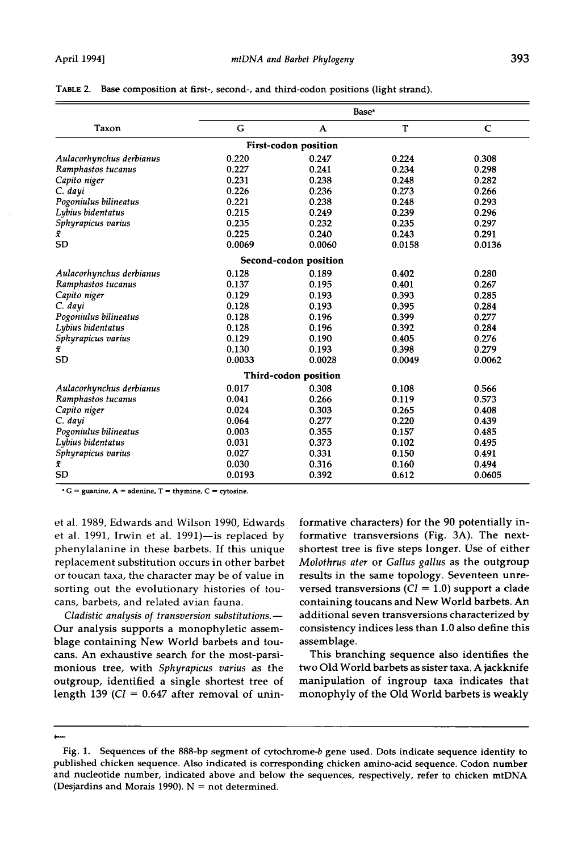|                          | Base <sup>®</sup> |                       |        |              |  |  |  |  |  |  |  |  |
|--------------------------|-------------------|-----------------------|--------|--------------|--|--|--|--|--|--|--|--|
| Taxon                    | G                 | A                     | T      | $\mathsf{C}$ |  |  |  |  |  |  |  |  |
|                          |                   | First-codon position  |        |              |  |  |  |  |  |  |  |  |
| Aulacorhynchus derbianus | 0.220             | 0.247                 | 0.224  | 0.308        |  |  |  |  |  |  |  |  |
| Ramphastos tucanus       | 0.227             | 0.241                 | 0.234  | 0.298        |  |  |  |  |  |  |  |  |
| Capito niger             | 0.231             | 0.238                 | 0.248  | 0.282        |  |  |  |  |  |  |  |  |
| C. dayi                  | 0.226             | 0.236                 | 0.273  | 0.266        |  |  |  |  |  |  |  |  |
| Pogoniulus bilineatus    | 0.221             | 0.238                 | 0.248  | 0.293        |  |  |  |  |  |  |  |  |
| Lybius bidentatus        | 0.215             | 0.249                 | 0.239  | 0.296        |  |  |  |  |  |  |  |  |
| Sphyrapicus varius       | 0.235             | 0.232                 | 0.235  | 0.297        |  |  |  |  |  |  |  |  |
| ī                        | 0.225             | 0.240                 | 0.243  | 0.291        |  |  |  |  |  |  |  |  |
| <b>SD</b>                | 0.0069            | 0.0060                | 0.0158 | 0.0136       |  |  |  |  |  |  |  |  |
|                          |                   | Second-codon position |        |              |  |  |  |  |  |  |  |  |
| Aulacorhynchus derbianus | 0.128             | 0.189                 | 0.402  | 0.280        |  |  |  |  |  |  |  |  |
| Ramphastos tucanus       | 0.137             | 0.195                 | 0.401  | 0.267        |  |  |  |  |  |  |  |  |
| Capito niger             | 0.129             | 0.193                 | 0.393  | 0.285        |  |  |  |  |  |  |  |  |
| C. dayi                  | 0.128             | 0.193                 | 0.395  | 0.284        |  |  |  |  |  |  |  |  |
| Pogoniulus bilineatus    | 0.128             | 0.196                 | 0.399  | 0.277        |  |  |  |  |  |  |  |  |
| Lybius bidentatus        | 0.128             | 0.196                 | 0.392  | 0.284        |  |  |  |  |  |  |  |  |
| Sphyrapicus varius       | 0.129             | 0.190                 | 0.405  | 0.276        |  |  |  |  |  |  |  |  |
| ī                        | 0.130             | 0.193                 | 0.398  | 0.279        |  |  |  |  |  |  |  |  |
| SD                       | 0.0033            | 0.0028                | 0.0049 | 0.0062       |  |  |  |  |  |  |  |  |
|                          |                   | Third-codon position  |        |              |  |  |  |  |  |  |  |  |
| Aulacorhynchus derbianus | 0.017             | 0.308                 | 0.108  | 0.566        |  |  |  |  |  |  |  |  |
| Ramphastos tucanus       | 0.041             | 0.266                 | 0.119  | 0.573        |  |  |  |  |  |  |  |  |
| Capito niger             | 0.024             | 0.303                 | 0.265  | 0.408        |  |  |  |  |  |  |  |  |
| C. dayi                  | 0.064             | 0.277                 | 0.220  | 0.439        |  |  |  |  |  |  |  |  |
| Pogoniulus bilineatus    | 0.003             | 0.355                 | 0.157  | 0.485        |  |  |  |  |  |  |  |  |
| Lybius bidentatus        | 0.031             | 0.373                 | 0.102  | 0.495        |  |  |  |  |  |  |  |  |
| Sphyrapicus varius       | 0.027             | 0.331                 | 0.150  | 0.491        |  |  |  |  |  |  |  |  |
| ī                        | 0.030             | 0.316                 | 0.160  | 0.494        |  |  |  |  |  |  |  |  |
| SD                       | 0.0193            | 0.392                 | 0.612  | 0.0605       |  |  |  |  |  |  |  |  |

**TABLE 2. Base composition at first-, second-, and third-codon positions (light strand).** 

**' G = guanine, A = adenine, T = thymine, C = cytosine.** 

**et al. 1989, Edwards and Wilson 1990, Edwards et al. 1991, Irwin et al. 1991)--is replaced by phenylalanine in these barbets. If this unique replacement substitution occurs in other barbet or toucan taxa, the character may be of value in sorting out the evolutionary histories of toucans, barbets, and related avian fauna.** 

**Cladistic analysis of transversion substitutions.- Our analysis supports a monophyletic assemblage containing New World barbets and toucans. An exhaustive search for the most-parsimonious tree, with Sphyrapicus varius as the outgroup, identified a single shortest tree of length 139 (CI = 0.647 after removal of unin-** **formative characters) for the 90 potentially informative transversions (Fig. 3A). The nextshortest tree is five steps longer. Use of either Molothrus ater or Gallus gallus as the outgroup results in the same topology. Seventeen unreversed transversions (CI = 1.0) support a clade containing toucans and New World barbets. An additional seven transversions characterized by consistency indices less than 1.0 also define this assemblage.** 

**This branching sequence also identifies the two Old World barbets as sister taxa. A jackknife manipulation of ingroup taxa indicates that monophyly of the Old World barbets is weakly** 

**Fig. 1. Sequences of the 888-bp segment of cytochrome-b gene used. Dots indicate sequence identity to published chicken sequence. Also indicated is corresponding chicken amino-acid sequence. Codon number and nucleotide number, indicated above and below the sequences, respectively, refer to chicken mtDNA (Desjardins and Morais 1990). N = not determined.**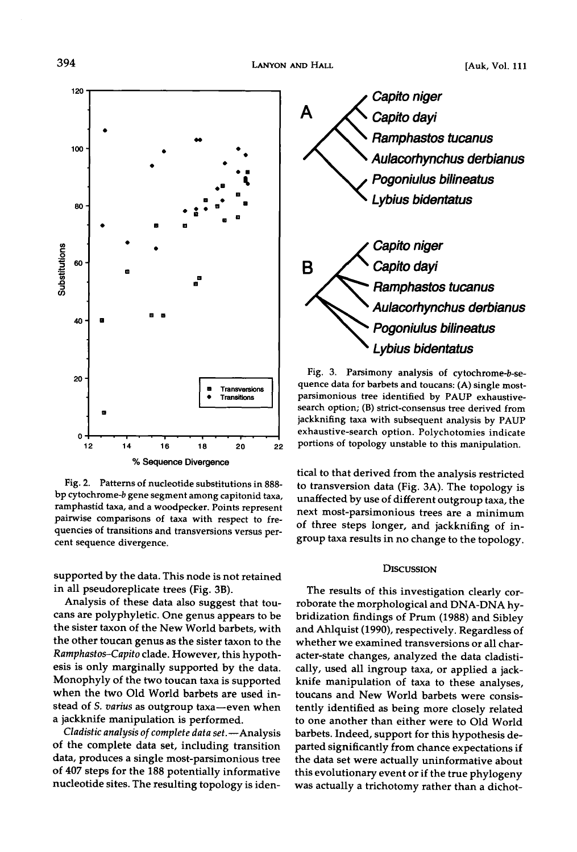

**Fig. 2. Patterns of nucleotide substitutions in 888 bp cytochrome-b gene segment among capitonid taxa, ramphastid taxa, and a woodpecker. Points represent pairwise comparisons of taxa with respect to frequencies of transitions and transversions versus percent sequence divergence.** 

**supported by the data. This node is not retained in all pseudoreplicate trees (Fig. 3B).** 

Analysis of these data also suggest that tou**cans are polyphyletic. One genus appears to be the sister taxon of the New World barbets, with the other toucan genus as the sister taxon to the Ramphastos-Capito clade. However, this hypothesis is only marginally supported by the data. Monophyly of the two toucan taxa is supported when the two Old World barbets are used in**stead of *S. varius* as outgroup taxa-even when **a jackknife manipulation is performed.** 

Cladistic analysis of complete data set. - Analysis **of the complete data set, including transition data, produces a single most-parsimonious tree of 407 steps for the 188 potentially informative nucleotide sites. The resulting topology is iden-**



Transversions<br>
Transitions<br> **Transitions Particular constructs** and the particular particular search option; (B) strict-conse **Fig. 3. Parsimony analysis of cytochrome-b-sequence data for barbets and toucans: (A) single mostparsimonious tree identified by PAUP exhaustivesearch option; (B) strict-consensus tree derived from jackknifing taxa with subsequent analysis by PAUP exhaustive-search option. Polychotomies indicate portions of topology unstable to this manipulation.** 

**tical to that derived from the analysis restricted to transversion data (Fig. 3A). The topology is unaffected by use of different outgroup taxa, the next most-parsimonious trees are a minimum of three steps longer, and jackknifing of ingroup taxa results in no change to the topology.** 

### **DISCUSSION**

**The results of this investigation clearly corroborate the morphological and DNA-DNA hybridization findings of Prum (1988) and Sibley and Ahlquist (1990), respectively. Regardless of whether we examined transversions or all character-state changes, analyzed the data cladistically, used all ingroup taxa, or applied a jackknife manipulation of taxa to these analyses, toucans and New World barbets were consistently identified as being more closely related to one another than either were to Old World barbets. Indeed, support for this hypothesis departed significantly from chance expectations if the data set were actually uninformative about this evolutionary event or if the true phylogeny was actually a trichotomy rather than a dichot-**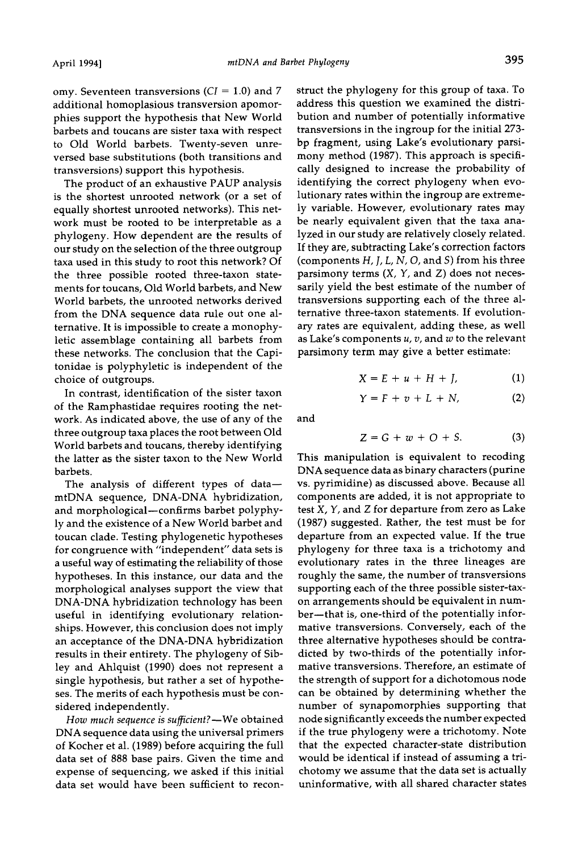**omy. Seventeen transversions (CI = 1.0) and 7 additional homoplasious transversion apomorphies support the hypothesis that New World barbets and toucans are sister taxa with respect to Old World barbets. Twenty-seven unreversed base substitutions (both transitions and transversions) support this hypothesis.** 

**The product of an exhaustive PAUP analysis is the shortest unrooted network (or a set of equally shortest unrooted networks). This network must be rooted to be interpretable as a phylogeny. How dependent are the results of our study on the selection of the three outgroup taxa used in this study to root this network? Of the three possible rooted three-taxon statements for toucans, Old World barbets, and New World barbets, the unrooted networks derived from the DNA sequence data rule out one alternative. It is impossible to create a monophyletic assemblage containing all barbets from these networks. The conclusion that the Capitonidae is polyphyletic is independent of the choice of outgroups.** 

**In contrast, identification of the sister taxon of the Ramphastidae requires rooting the network. As indicated above, the use of any of the three outgroup taxa places the root between Old World barbets and toucans, thereby identifying the latter as the sister taxon to the New World barbets.** 

The analysis of different types of data**mtDNA sequence, DNA-DNA hybridization, and morphological--confirms barbet polyphyly and the existence of a New World barbet and toucan clade. Testing phylogenetic hypotheses for congruence with "independent" data sets is a useful way of estimating the reliability of those hypotheses. In this instance, our data and the morphological analyses support the view that DNA-DNA hybridization technology has been useful in identifying evolutionary relationships. However, this conclusion does not imply an acceptance of the DNA-DNA hybridization results in their entirety. The phylogeny of Sibley and Ahlquist (1990) does not represent a single hypothesis, but rather a set of hypotheses. The merits of each hypothesis must be considered independently.** 

How much sequence is sufficient?--We obtained **DNA sequence data using the universal primers of Kocher et al. (1989) before acquiring the full data set of 888 base pairs. Given the time and expense of sequencing, we asked if this initial data set would have been sufficient to recon-** **struct the phylogeny for this group of taxa. To address this question we examined the distribution and number of potentially informative transversions in the ingroup for the initial 273 bp fragment, using Lake's evolutionary parsimony method (1987). This approach is specifically designed to increase the probability of identifying the correct phylogeny when evolutionary rates within the ingroup are extremely variable. However, evolutionary rates may be nearly equivalent given that the taxa analyzed in our study are relatively closely related. If they are, subtracting Lake's correction factors (components H, J, L, N, O, and S) from his three parsimony terms (X, Y, and Z) does not necessarily yield the best estimate of the number of transversions supporting each of the three alternative three-taxon statements. If evolutionary rates are equivalent, adding these, as well as Lake's components u, v, and w to the relevant parsimony term may give a better estimate:** 

$$
X = E + u + H + J, \tag{1}
$$

$$
Y = F + v + L + N,\tag{2}
$$

**and** 

$$
Z = G + w + O + S. \tag{3}
$$

**This manipulation is equivalent to recoding DNA sequence data as binary characters (purine vs. pyrimidine) as discussed above. Because all components are added, it is not appropriate to test X, Y, and Z for departure from zero as Lake (1987) suggested. Rather, the test must be for departure from an expected value. If the true phylogeny for three taxa is a trichotomy and evolutionary rates in the three lineages are roughly the same, the number of transversions supporting each of the three possible sister-taxon arrangements should be equivalent in number-that is, one-third of the potentially informative transversions. Conversely, each of the**  three alternative hypotheses should be contra**dicted by two-thirds of the potentially informative transversions. Therefore, an estimate of the strength of support for a dichotomous node can be obtained by determining whether the number of synapomorphies supporting that node significantly exceeds the number expected if the true phylogeny were a trichotomy. Note that the expected character-state distribution would be identical if instead of assuming a trichotomy we assume that the data set is actually uninformative, with all shared character states**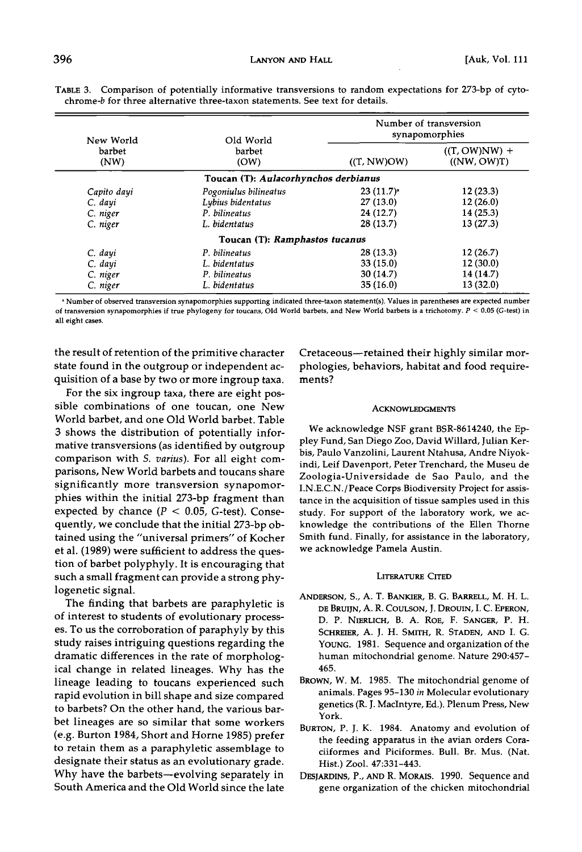| New World      | Old World                            | Number of transversion<br>synapomorphies |                               |  |  |  |  |  |  |
|----------------|--------------------------------------|------------------------------------------|-------------------------------|--|--|--|--|--|--|
| barbet<br>(NW) | barbet<br>(OW)                       | ((T, NW)OW)                              | $((T,OW)NW) +$<br>((NW, OW)T) |  |  |  |  |  |  |
|                | Toucan (T): Aulacorhynchos derbianus |                                          |                               |  |  |  |  |  |  |
| Capito dayi    | Pogoniulus bilineatus                | $23(11.7)$ <sup>*</sup>                  | 12(23.3)                      |  |  |  |  |  |  |
| C. dayi        | Lybius bidentatus                    | 27(13.0)                                 | 12(26.0)                      |  |  |  |  |  |  |
| C. niger       | P. bilineatus                        | 24 (12.7)                                | 14 (25.3)                     |  |  |  |  |  |  |
| C. niger       | L. bidentatus                        | 28 (13.7)                                | 13(27.3)                      |  |  |  |  |  |  |
|                | Toucan (T): Ramphastos tucanus       |                                          |                               |  |  |  |  |  |  |
| C. dayi        | P. bilineatus                        | 28(13.3)                                 | 12(26.7)                      |  |  |  |  |  |  |
| C. dayi        | L. bidentatus                        | 33 (15.0)                                | 12(30.0)                      |  |  |  |  |  |  |
| C. niger       | P. bilineatus                        | 30 (14.7)                                | 14 (14.7)                     |  |  |  |  |  |  |
| C. niger       | L. bidentatus                        | 35(16.0)                                 | 13 (32.0)                     |  |  |  |  |  |  |

**TABLE 3. Comparison of potentially informative transversions to random expectations for 273-bp of cytochrome-b for three alternative three-taxon statements. See text for details.** 

**• Number of observed transversion synapomorphies supporting indicated three-taxon statement(s). Values in parentheses are expected number of transversion synapomorphies if true phylogeny for toucans, Old World barbets, and New World barbets is a trichotomy. P < 0.05 (G-test) in all eight cases.** 

**the result of retention of the primitive character state found in the outgroup or independent acquisition of a base by two or more ingroup taxa.** 

**For the six ingroup taxa, there are eight possible combinations of one toucan, one New World barbet, and one Old World barbet. Table 3 shows the distribution of potentially informative transversions (as identified by outgroup comparison with S. varius). For all eight comparisons, New World barbets and toucans share significantly more transversion synapomorphies within the initial 273-bp fragment than expected by chance (P < 0.05, G-test). Consequently, we conclude that the initial 273-bp obtained using the "universal primers" of Kocher**  et al. (1989) were sufficient to address the ques**tion of barbet polyphyly. It is encouraging that such a small fragment can provide a strong phylogenetic signal.** 

**The finding that barbets are paraphyletic is of interest to students of evolutionary processes. To us the corroboration of paraphyly by this study raises intriguing questions regarding the dramatic differences in the rate of morphological change in related lineages. Why has the lineage leading to toucans experienced such rapid evolution in bill shape and size compared to barbets? On the other hand, the various barbet lineages are so similar that some workers (e.g. Burton 1984, Short and Horne 1985) prefer to retain them as a paraphyletic assemblage to designate their status as an evolutionary grade. Why have the barbets--evolving separately in South America and the Old World since the late** 

**Cretaceous--retained their highly similar morphologies, behaviors, habitat and food requirements?** 

### **ACKNOWLEDGMENTS**

**We acknowledge NSF grant BSR-8614240, the Eppley Fund, San Diego Zoo, David Willard, Julian Kerbis, Paulo Vanzolini, Laurent Ntahusa, Andre Niyokindi, Leif Davenport, Peter Trenchard, the Museu de Zoologia-Universidade de Sao Paulo, and the I.N.E.C.N./Peace Corps Biodiversity Project for assistance in the acquisition of tissue samples used in this study. For support of the laboratory work, we acknowledge the contributions of the Ellen Thorne Smith fund. Finally, for assistance in the laboratory, we acknowledge Pamela Austin.** 

#### **LITERATURE CITED**

- ANDERSON, S., A. T. BANKIER, B. G. BARRELL, M. H. L. **DE BRUIJN, A. R. COULSON, J. DROUIN, I. C. EPERON, D. P. NIERLICH, B. A. ROE, F. SANGER, P. H. SCHREIER, A. J. H. SMITH, R. STADEN, AND I. G. YOUNG. 1981. Sequence and organization of the human mitochondrial genome. Nature 290:457- 465.**
- **BROWN, W. M. 1985. The mitochondrial genome of animals. Pages 95-130 in Molecular evolutionary genetics (R. J. MacIntyre, Ed.). Plenum Press, New York.**
- **BURTON, P. J. K. 1984. Anatomy and evolution of the feeding apparatus in the avian orders Coraciiformes and Piciformes. Bull. Br. Mus. (Nat. Hist.) Zool. 47:331-443.**
- **DESlARDINS, P., AND R. MORAIS. 1990. Sequence and gene organization of the chicken mitochondrial**